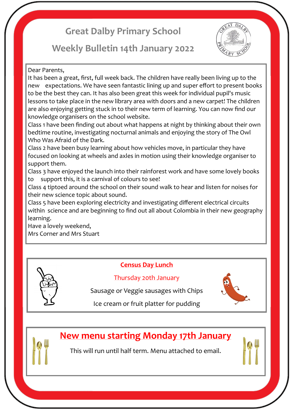# **Great Dalby Primary School**

## **Weekly Bulletin 14th January 2022**



#### Dear Parents,

It has been a great, first, full week back. The children have really been living up to the new expectations. We have seen fantastic lining up and super effort to present books to be the best they can. It has also been great this week for individual pupil's music lessons to take place in the new library area with doors and a new carpet! The children are also enjoying getting stuck in to their new term of learning. You can now find our knowledge organisers on the school website.

Class 1 have been finding out about what happens at night by thinking about their own bedtime routine, investigating nocturnal animals and enjoying the story of The Owl Who Was Afraid of the Dark.

Class 2 have been busy learning about how vehicles move, in particular they have focused on looking at wheels and axles in motion using their knowledge organiser to support them.

Class 3 have enjoyed the launch into their rainforest work and have some lovely books to support this, it is a carnival of colours to see!

Class 4 tiptoed around the school on their sound walk to hear and listen for noises for their new science topic about sound.

Class 5 have been exploring electricity and investigating different electrical circuits within science and are beginning to find out all about Colombia in their new geography learning.

Have a lovely weekend,

Mrs Corner and Mrs Stuart



## **Census Day Lunch**

#### Thursday 20th January

Sausage or Veggie sausages with Chips



Ice cream or fruit platter for pudding

## **New menu starting Monday 17th January**

This will run until half term. Menu attached to email.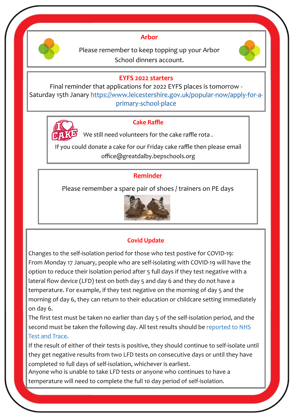

### **Arbor**

Please remember to keep topping up your Arbor School dinners account.



#### **EYFS 2022 starters**

Final reminder that applications for 2022 EYFS places is tomorrow - Saturday 15th Janary [https://www.leicestershire.gov.uk/popular](https://www.leicestershire.gov.uk/popular-now/apply-for-a-primary-school-place)-now/apply-for-a[primary](https://www.leicestershire.gov.uk/popular-now/apply-for-a-primary-school-place)-school-place



#### **Cake Raffle**

We still need volunteers for the cake raffle rota .

If you could donate a cake for our Friday cake raffle then please email office@greatdalby.bepschools.org

## **Reminder**

Please remember a spare pair of shoes / trainers on PE days



## **Covid Update**

Changes to the self-isolation period for those who test postive for COVID-19: From Monday 17 January, people who are self-isolating with COVID-19 will have the option to reduce their isolation period after 5 full days if they test negative with a lateral flow device (LFD) test on both day 5 and day 6 and they do not have a temperature. For example, if they test negative on the morning of day 5 and the morning of day 6, they can return to their education or childcare setting immediately on day 6.

The first test must be taken no earlier than day 5 of the self-isolation period, and the second must be taken the following day. All test results should be reported to NHS [Test and Trace.](https://www.gov.uk/report-covid19-result?utm_source=14%20January%202022%20C19&utm_medium=Daily%20Email%20C19&utm_campaign=DfE%20C19)

If the result of either of their tests is positive, they should continue to self-isolate until they get negative results from two LFD tests on consecutive days or until they have completed 10 full days of self-isolation, whichever is earliest.

Anyone who is unable to take LFD tests or anyone who continues to have a temperature will need to complete the full 10 day period of self-isolation.